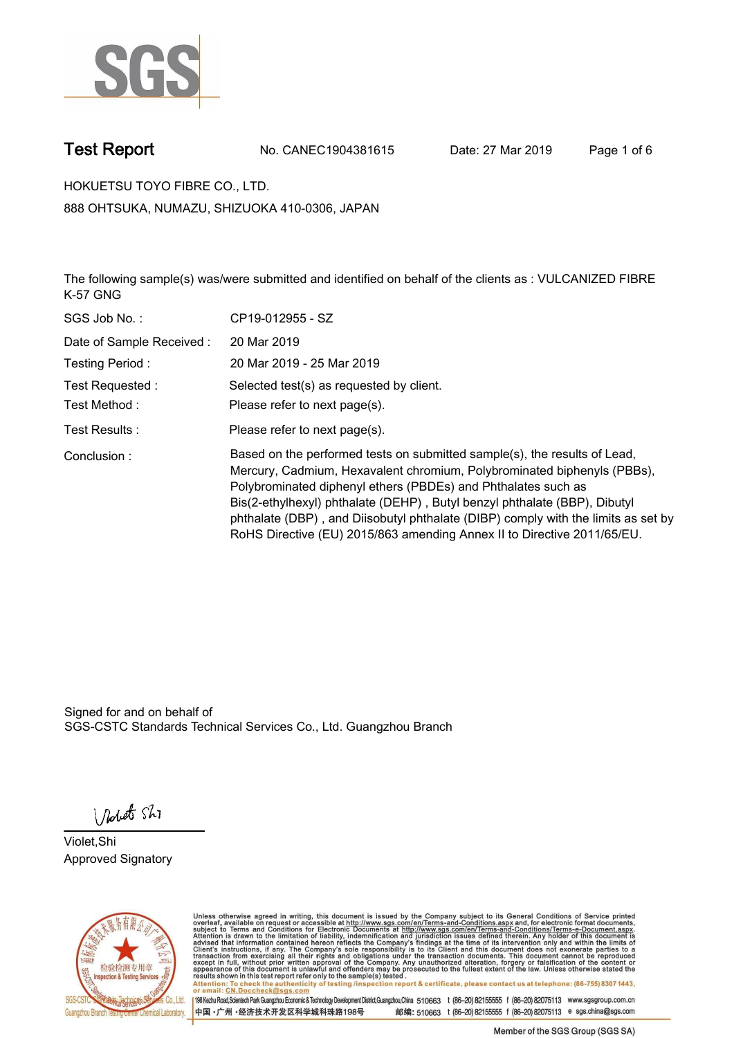

**Test Report. No. CANEC1904381615 Date: 27 Mar 2019. Page 1 of 6.**

**HOKUETSU TOYO FIBRE CO., LTD.. 888 OHTSUKA, NUMAZU, SHIZUOKA 410-0306, JAPAN**

**The following sample(s) was/were submitted and identified on behalf of the clients as : VULCANIZED FIBRE K-57 GNG.**

| SGS Job No.:             | CP19-012955 - SZ                                                                                                                                                                                                                                                                                                                                                                                                                                                   |
|--------------------------|--------------------------------------------------------------------------------------------------------------------------------------------------------------------------------------------------------------------------------------------------------------------------------------------------------------------------------------------------------------------------------------------------------------------------------------------------------------------|
| Date of Sample Received: | 20 Mar 2019                                                                                                                                                                                                                                                                                                                                                                                                                                                        |
| Testing Period:          | 20 Mar 2019 - 25 Mar 2019                                                                                                                                                                                                                                                                                                                                                                                                                                          |
| Test Requested:          | Selected test(s) as requested by client.                                                                                                                                                                                                                                                                                                                                                                                                                           |
| Test Method :            | Please refer to next page(s).                                                                                                                                                                                                                                                                                                                                                                                                                                      |
| Test Results :           | Please refer to next page(s).                                                                                                                                                                                                                                                                                                                                                                                                                                      |
| Conclusion:              | Based on the performed tests on submitted sample(s), the results of Lead,<br>Mercury, Cadmium, Hexavalent chromium, Polybrominated biphenyls (PBBs),<br>Polybrominated diphenyl ethers (PBDEs) and Phthalates such as<br>Bis(2-ethylhexyl) phthalate (DEHP), Butyl benzyl phthalate (BBP), Dibutyl<br>phthalate (DBP), and Diisobutyl phthalate (DIBP) comply with the limits as set by<br>RoHS Directive (EU) 2015/863 amending Annex II to Directive 2011/65/EU. |

Signed for and on behalf of SGS-CSTC Standards Technical Services Co., Ltd. Guangzhou Branch.

Nobet Shi

**Violet,Shi. Approved Signatory.**



Unless otherwise agreed in writing, this document is issued by the Company subject to its General Conditions of Service printed<br>overleaf, available on request or accessible at http://www.sgs.com/en/Terms-and-Conditions.asp Attention: To check the authenticity of testing /inspection report & certificate, please contact us at telephone: (86-755) 8307 1443,<br>Attention: To check the authenticity of testing /inspection report & certificate, please

198 Kezhu Road,Scientech Park Guangzhou Economic & Technology Development District,Guangzhou,China 510663 t (86-20) 82155555 f (86-20) 82075113 www.sgsgroup.com.cn 邮编: 510663 t (86-20) 82155555 f (86-20) 82075113 e sgs.china@sgs.com 中国·广州·经济技术开发区科学城科珠路198号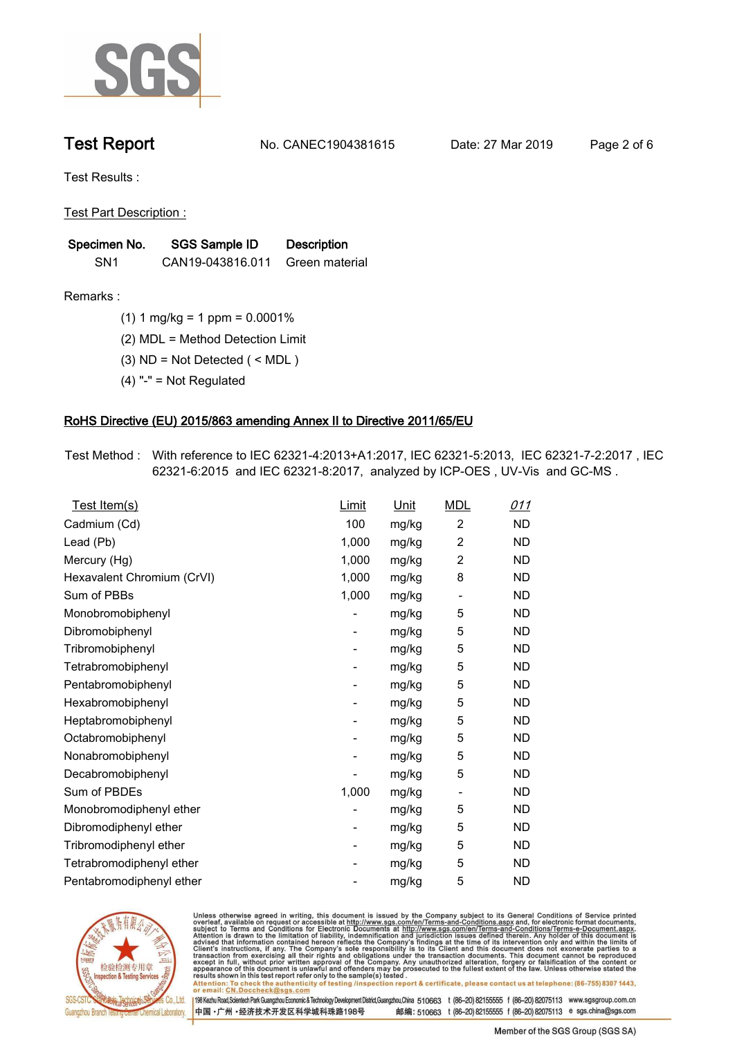

**Test Report. No. CANEC1904381615 Date: 27 Mar 2019. Page 2 of 6.**

**Test Results :.**

**Test Part Description :.**

| Specimen No.    | SGS Sample ID    | <b>Description</b> |
|-----------------|------------------|--------------------|
| SN <sub>1</sub> | CAN19-043816.011 | Green material     |

**Remarks :.(1) 1 mg/kg = 1 ppm = 0.0001%.**

**(2) MDL = Method Detection Limit.**

**(3) ND = Not Detected ( < MDL ).**

**(4) "-" = Not Regulated.**

### **RoHS Directive (EU) 2015/863 amending Annex II to Directive 2011/65/EU.**

**Test Method :. With reference to IEC 62321-4:2013+A1:2017, IEC 62321-5:2013, IEC 62321-7-2:2017 , IEC 62321-6:2015 and IEC 62321-8:2017, analyzed by ICP-OES , UV-Vis and GC-MS ..**

| Test Item(s)               | <u>Limit</u>             | <u>Unit</u> | <b>MDL</b>               | 011       |
|----------------------------|--------------------------|-------------|--------------------------|-----------|
| Cadmium (Cd)               | 100                      | mg/kg       | $\overline{2}$           | <b>ND</b> |
| Lead (Pb)                  | 1,000                    | mg/kg       | $\overline{c}$           | <b>ND</b> |
| Mercury (Hg)               | 1,000                    | mg/kg       | 2                        | <b>ND</b> |
| Hexavalent Chromium (CrVI) | 1,000                    | mg/kg       | 8                        | <b>ND</b> |
| Sum of PBBs                | 1,000                    | mg/kg       | $\overline{\phantom{a}}$ | <b>ND</b> |
| Monobromobiphenyl          |                          | mg/kg       | 5                        | <b>ND</b> |
| Dibromobiphenyl            | $\overline{\phantom{a}}$ | mg/kg       | 5                        | <b>ND</b> |
| Tribromobiphenyl           | $\overline{\phantom{a}}$ | mg/kg       | 5                        | <b>ND</b> |
| Tetrabromobiphenyl         |                          | mg/kg       | 5                        | <b>ND</b> |
| Pentabromobiphenyl         | $\overline{\phantom{a}}$ | mg/kg       | 5                        | <b>ND</b> |
| Hexabromobiphenyl          |                          | mg/kg       | 5                        | ND        |
| Heptabromobiphenyl         | $\overline{\phantom{a}}$ | mg/kg       | 5                        | <b>ND</b> |
| Octabromobiphenyl          | $\overline{\phantom{a}}$ | mg/kg       | 5                        | <b>ND</b> |
| Nonabromobiphenyl          |                          | mg/kg       | 5                        | <b>ND</b> |
| Decabromobiphenyl          |                          | mg/kg       | 5                        | <b>ND</b> |
| Sum of PBDEs               | 1,000                    | mg/kg       | $\overline{\phantom{a}}$ | <b>ND</b> |
| Monobromodiphenyl ether    |                          | mg/kg       | 5                        | <b>ND</b> |
| Dibromodiphenyl ether      | ۰                        | mg/kg       | 5                        | <b>ND</b> |
| Tribromodiphenyl ether     | -                        | mg/kg       | 5                        | <b>ND</b> |
| Tetrabromodiphenyl ether   |                          | mg/kg       | 5                        | <b>ND</b> |
| Pentabromodiphenyl ether   |                          | mg/kg       | 5                        | <b>ND</b> |
|                            |                          |             |                          |           |



Unless otherwise agreed in writing, this document is issued by the Company subject to its General Conditions of Service printed<br>overleaf, available on request or accessible at http://www.sgs.com/en/Terms-and-Conditions.asp Attention: To check the authenticity of testing /inspection report & certificate, please contact us at telephone: (86-755) 8307 1443,<br>Attention: To check the authenticity of testing /inspection report & certificate, please

198 Kezhu Road,Scientech Park Guangzhou Economic & Technology Development District,Guangzhou,China 510663 t (86-20) 82155555 f (86-20) 82075113 www.sgsgroup.com.cn 邮编: 510663 t (86-20) 82155555 f (86-20) 82075113 e sgs.china@sgs.com 中国·广州·经济技术开发区科学城科珠路198号

Member of the SGS Group (SGS SA)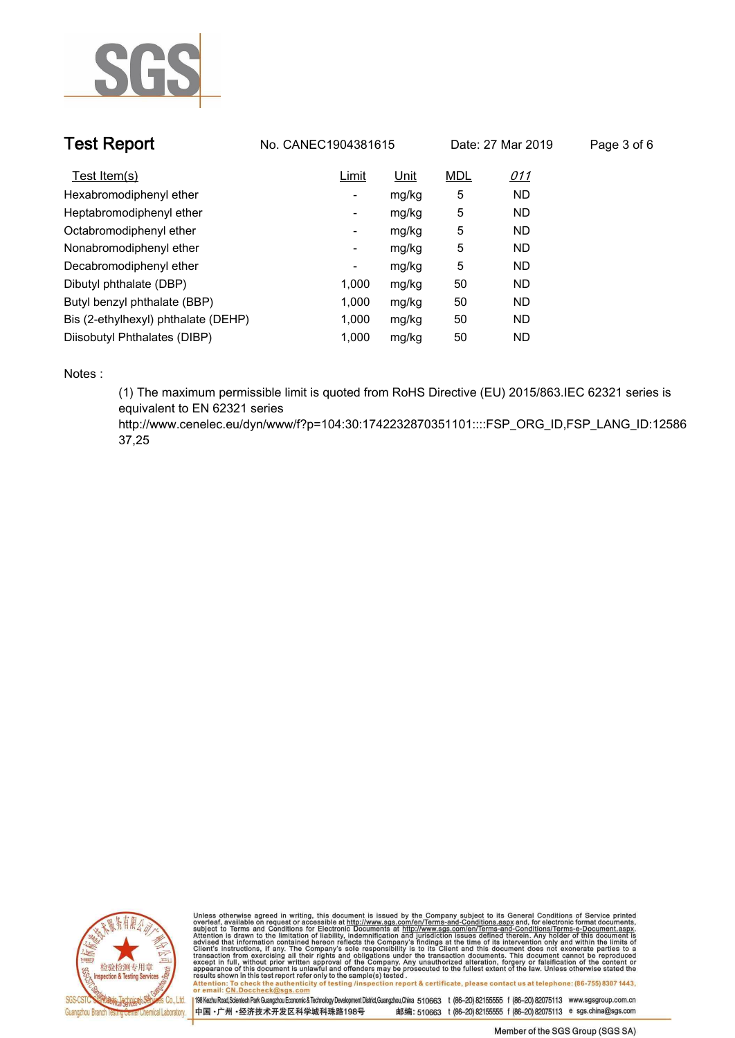

| <b>Test Report</b>                  | No. CANEC1904381615 |       |            | Date: 27 Mar 2019 | Page 3 of 6 |
|-------------------------------------|---------------------|-------|------------|-------------------|-------------|
| Test Item(s)                        | Limit               | Unit  | <b>MDL</b> | <u>011</u>        |             |
| Hexabromodiphenyl ether             | -                   | mg/kg | 5          | <b>ND</b>         |             |
| Heptabromodiphenyl ether            | ۰                   | mg/kg | 5          | <b>ND</b>         |             |
| Octabromodiphenyl ether             | Ξ.                  | mg/kg | 5          | <b>ND</b>         |             |
| Nonabromodiphenyl ether             | -                   | mg/kg | 5          | <b>ND</b>         |             |
| Decabromodiphenyl ether             | ٠                   | mg/kg | 5          | <b>ND</b>         |             |
| Dibutyl phthalate (DBP)             | 1.000               | mg/kg | 50         | <b>ND</b>         |             |
| Butyl benzyl phthalate (BBP)        | 1.000               | mg/kg | 50         | <b>ND</b>         |             |
| Bis (2-ethylhexyl) phthalate (DEHP) | 1.000               | mg/kg | 50         | <b>ND</b>         |             |
| Diisobutyl Phthalates (DIBP)        | 1.000               | mg/kg | 50         | <b>ND</b>         |             |

**Notes :.**

**(1) The maximum permissible limit is quoted from RoHS Directive (EU) 2015/863.IEC 62321 series is equivalent to EN 62321 series** 

**http://www.cenelec.eu/dyn/www/f?p=104:30:1742232870351101::::FSP\_ORG\_ID,FSP\_LANG\_ID:12586 37,25.**



Unless otherwise agreed in writing, this document is issued by the Company subject to its General Conditions of Service printed<br>overleaf, available on request or accessible at http://www.sgs.com/en/Terms-and-Conditions.asp results shown in this test report refer only to the sample(s) tested .<br>Attention: To check the authenticity of testing /inspection report & certificate, please contact us at telephone: (86-755) 8307 1443,<br>or email: <u>CN.Doc</u>

198 Kezhu Road,Scientech Park Guangzhou Economic & Technology Development District,Guangzhou,China 510663 t (86-20) 82155555 f (86-20) 82075113 www.sgsgroup.com.cn 中国·广州·经济技术开发区科学城科珠路198号 邮编: 510663 t (86-20) 82155555 f (86-20) 82075113 e sgs.china@sgs.com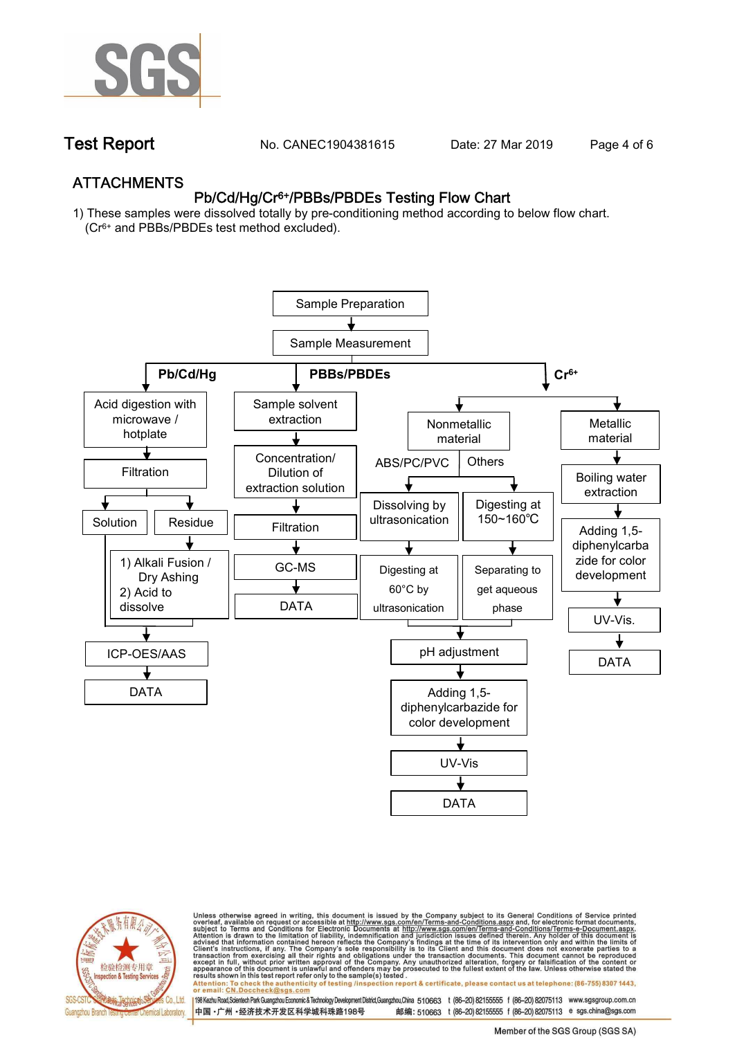

**Test Report. No. CANEC1904381615 Date: 27 Mar 2019. Page 4 of 6.**

## **ATTACHMENTS Pb/Cd/Hg/Cr6+/PBBs/PBDEs Testing Flow Chart**

**1) These samples were dissolved totally by pre-conditioning method according to below flow chart. (Cr6+ and PBBs/PBDEs test method excluded).**





Unless otherwise agreed in writing, this document is issued by the Company subject to its General Conditions of Service printed<br>overleaf, available on request or accessible at http://www.sgs.com/en/Terms-and-Conditions.asp résults shown in this test report refer only to the sample(s) tésted .<br>Attention: To check the authenticity of testing /inspection report & certificate, please contact us at telephone: (86-755) 8307 1443,<br>or email: <u>CN.Doc</u>

198 Kezhu Road,Scientech Park Guangzhou Economic & Technology Development District,Guangzhou,China 510663 t (86-20) 82155555 f (86-20) 82075113 www.sgsgroup.com.cn 邮编: 510663 t (86-20) 82155555 f (86-20) 82075113 e sgs.china@sgs.com 中国·广州·经济技术开发区科学城科珠路198号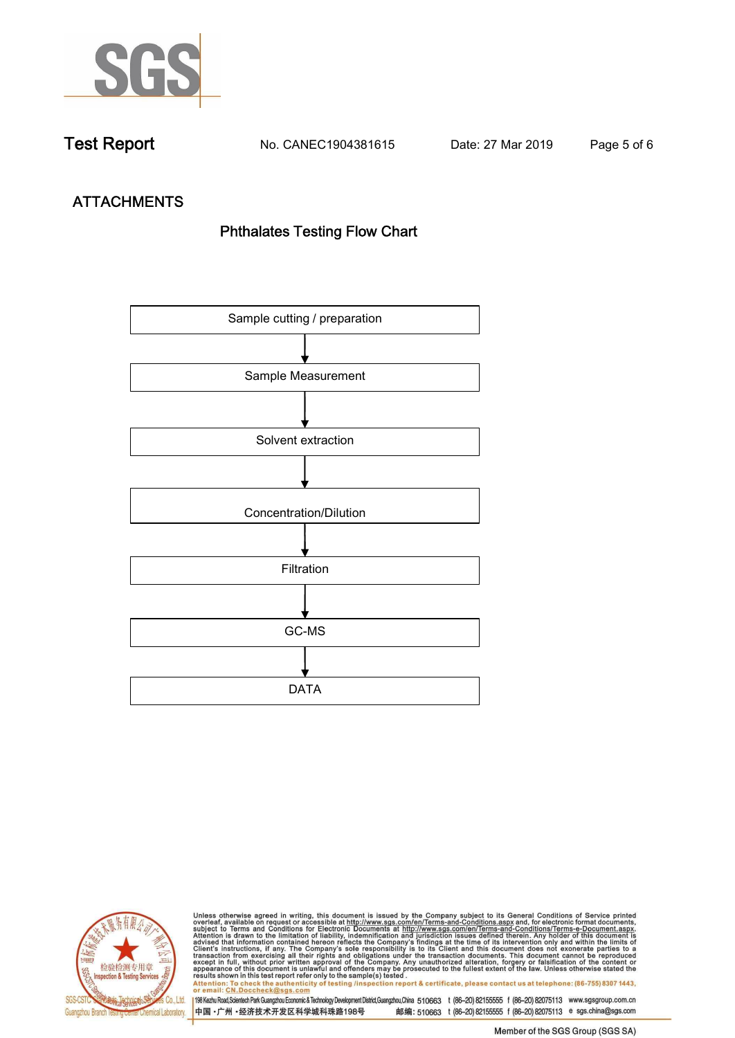

**Test Report. No. CANEC1904381615 Date: 27 Mar 2019. Page 5 of 6.**

# **ATTACHMENTS Phthalates Testing Flow Chart**





Unless otherwise agreed in writing, this document is issued by the Company subject to its General Conditions of Service printed<br>overleaf, available on request or accessible at http://www.sgs.com/en/Terms-and-Conditions.asp results shown in this test report refer only to the sample(s) tested .<br>Attention: To check the authenticity of testing /inspection report & certificate, please contact us at telephone: (86-755) 8307 1443,<br>or email: <u>CN.Doc</u>

198 Kezhu Road,Scientech Park Guangzhou Economic & Technology Development District,Guangzhou,China 510663 t (86-20) 82155555 f (86-20) 82075113 www.sgsgroup.com.cn 中国·广州·经济技术开发区科学城科珠路198号 邮编: 510663 t (86-20) 82155555 f (86-20) 82075113 e sgs.china@sgs.com